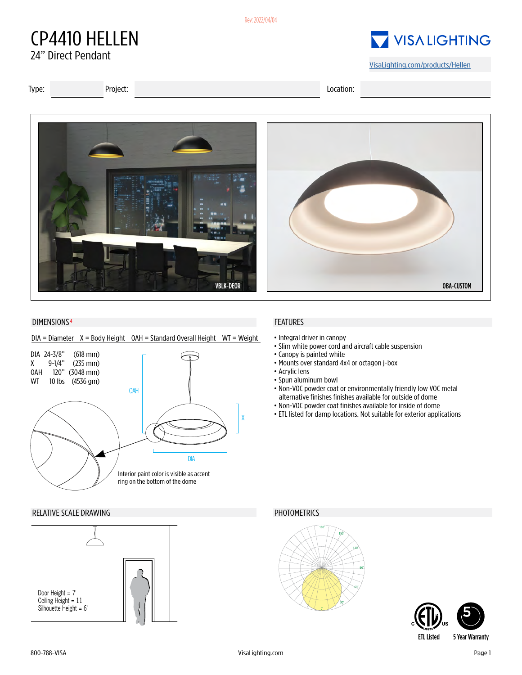#### Rev: 2022/04/04

## CP4410 HELLEN 24" Direct Pendant

# VISALIGHTING

[VisaLighting.com/products/Hellen](https://VisaLighting.com/products/Hellen)

Type: Project: Location:



#### DIMENSIONS<sup>4</sup>

### $DIA =$  Diameter  $X =$  Body Height  $OAH =$  Standard Overall Height WT = Weight



#### RELATIVE SCALE DRAWING **PHOTOMETRICS**



### FEATURES

- Integral driver in canopy
- Slim white power cord and aircraft cable suspension
- Canopy is painted white
- Mounts over standard 4x4 or octagon j-box
- Acrylic lens
- Spun aluminum bowl
- Non-VOC powder coat or environmentally friendly low VOC metal alternative finishes finishes available for outside of dome
- Non-VOC powder coat finishes available for inside of dome
- ETL listed for damp locations. Not suitable for exterior applications



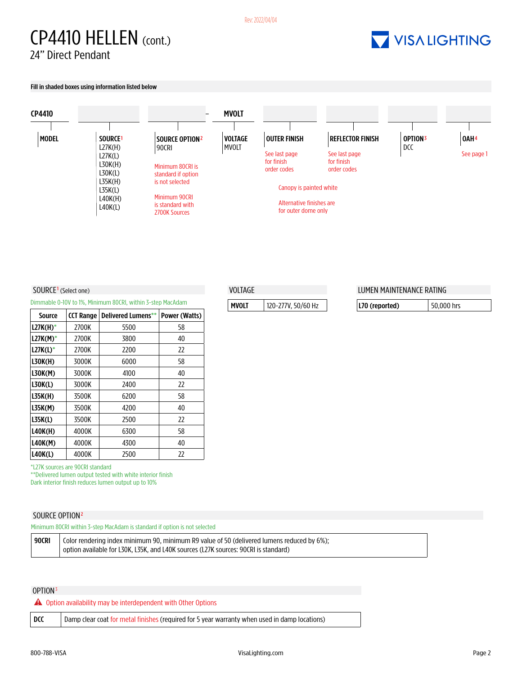## CP4410 HELLEN (cont.) 24" Direct Pendant

# VISALIGHTING

Fill in shaded boxes using information listed below



VOLTAGE

MVOLT 120-277V, 50/60 Hz

#### SOURCE<sup>1</sup> (Select one)

Dimmable 0-10V to 1%, Minimum 80CRI, within 3-step MacAdam

| Source         | <b>CCT Range</b> | Delivered Lumens** | Power (Watts) |
|----------------|------------------|--------------------|---------------|
| $L27K(H)^*$    | 2700K            | 5500               | 58            |
| $L27K(M)^*$    | 2700K            | 3800               | 40            |
| $L27K(L)^*$    | 2700K            | 2200               | 22            |
| L30K(H)        | 3000K            | 6000               | 58            |
| L30K(M)        | 3000K            | 4100               | 40            |
| L30K(L)        | 3000K            | 2400               | 22            |
| <b>L35K(H)</b> | 3500K            | 6200               | 58            |
| L35K(M)        | 3500K            | 4200               | 40            |
| L35K(L)        | 3500K            | 2500               | 22            |
| L40K(H)        | 4000K            | 6300               | 58            |
| <b>L40K(M)</b> | 4000K            | 4300               | 40            |
| <b>L40K(L)</b> | 4000K            | 2500               | 22            |

\*L27K sources are 90CRI standard

\*\*Delivered lumen output tested with white interior finish

Dark interior finish reduces lumen output up to 10%

#### SOURCE OPTION<sup>2</sup>

Minimum 80CRI within 3-step MacAdam is standard if option is not selected

| 90CRI | Color rendering index minimum 90, minimum R9 value of 50 (delivered lumens reduced by 6%): |
|-------|--------------------------------------------------------------------------------------------|
|       | option available for L30K. L35K. and L40K sources (L27K sources: 90CRI is standard)        |

#### OPTION3

 $\triangle$  Option availability may be interdependent with Other Options

| DCC<br>  Damp clear coat for metal finishes (required for 5 year warranty when used in damp locations) |  |
|--------------------------------------------------------------------------------------------------------|--|
|--------------------------------------------------------------------------------------------------------|--|

### LUMEN MAINTENANCE RATING

| $ L70$ (reported) | 50.000 hrs |
|-------------------|------------|
|-------------------|------------|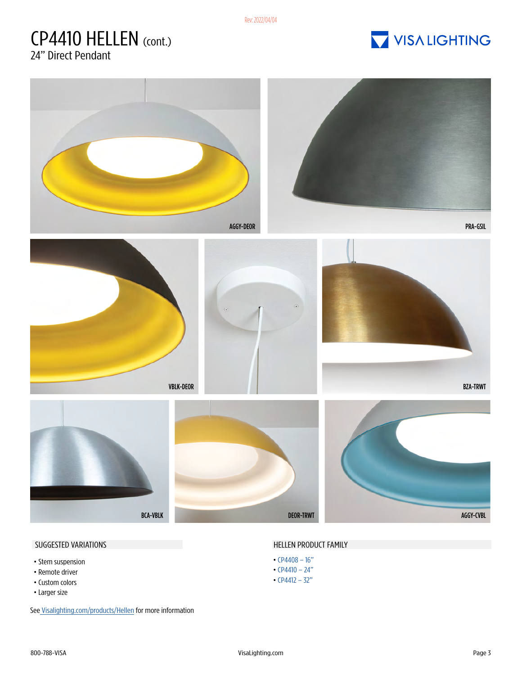Rev: 2022/04/04

## CP4410 HELLEN (cont.) 24" Direct Pendant

VISA LIGHTING



- Stem suspension
- •Remote driver
- Custom colors
- Larger size

Se[e Visalighting.com/products/Hellen](https:// Visalighting.com/products/Hellen) for more information

#### SUGGESTED VARIATIONS **SUGGESTED** VARIATIONS

- [CP4408 16"](https://visalighting.com/products/hellen/CP4408)
- [CP4410 24"](https://visalighting.com/products/hellen/CP4410)
- [CP4412 32"](https://visalighting.com/products/hellen/CP4412)